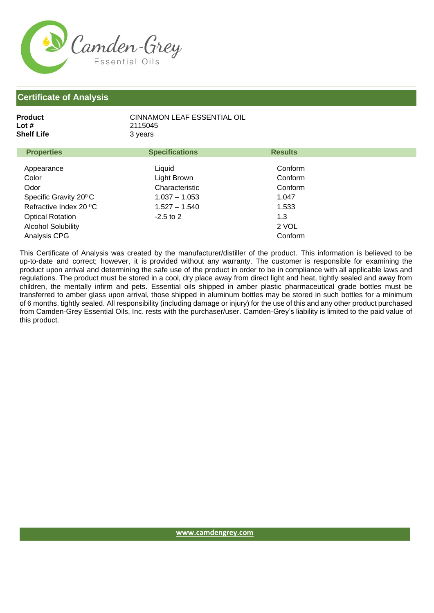

| Product    | CINNAMON LEAF ESSENTIAL OIL |
|------------|-----------------------------|
| Lot #      | 2115045                     |
| Shelf Life | 3 vears                     |
|            |                             |

| <b>Properties</b>                  | <b>Specifications</b> | <b>Results</b> |  |
|------------------------------------|-----------------------|----------------|--|
|                                    |                       |                |  |
| Appearance                         | Liquid                | Conform        |  |
| Color                              | Light Brown           | Conform        |  |
| Odor                               | Characteristic        | Conform        |  |
| Specific Gravity 20 <sup>°</sup> C | $1.037 - 1.053$       | 1.047          |  |
| Refractive Index 20 °C             | $1.527 - 1.540$       | 1.533          |  |
| <b>Optical Rotation</b>            | $-2.5$ to 2           | 1.3            |  |
| <b>Alcohol Solubility</b>          |                       | 2 VOL          |  |
| Analysis CPG                       |                       | Conform        |  |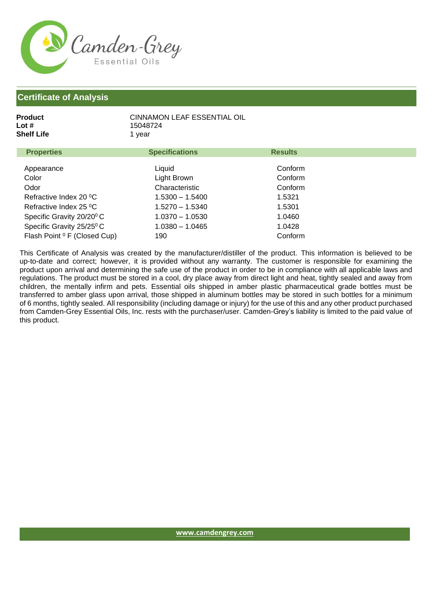

| Product    | CINNAMON LEAF ESSENTIAL OIL |
|------------|-----------------------------|
| Lot #      | 15048724                    |
| Shelf Life | 1 vear                      |
|            |                             |

| <b>Properties</b>                       | <b>Specifications</b> | <b>Results</b> |  |
|-----------------------------------------|-----------------------|----------------|--|
|                                         |                       |                |  |
| Appearance                              | Liquid                | Conform        |  |
| Color                                   | Light Brown           | Conform        |  |
| Odor                                    | Characteristic        | Conform        |  |
| Refractive Index 20 °C                  | $1.5300 - 1.5400$     | 1.5321         |  |
| Refractive Index 25 °C                  | $1.5270 - 1.5340$     | 1.5301         |  |
| Specific Gravity 20/20 <sup>°</sup> C   | $1.0370 - 1.0530$     | 1.0460         |  |
| Specific Gravity 25/25 <sup>0</sup> C   | $1.0380 - 1.0465$     | 1.0428         |  |
| Flash Point <sup>0</sup> F (Closed Cup) | 190                   | Conform        |  |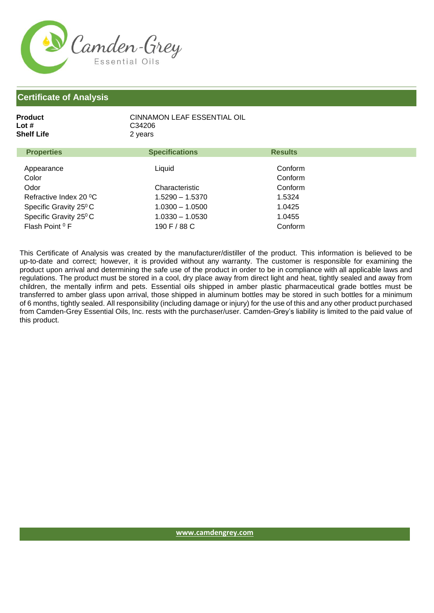

| Product    | CINNAMON LEAF ESSENTIAL OIL |
|------------|-----------------------------|
| Lot #      | C34206                      |
| Shelf Life | 2 years                     |

| <b>Properties</b>                  | <b>Specifications</b> | <b>Results</b> |
|------------------------------------|-----------------------|----------------|
| Appearance                         | Liquid                | Conform        |
| Color                              |                       | Conform        |
| Odor                               | Characteristic        | Conform        |
| Refractive Index 20 °C             | $1.5290 - 1.5370$     | 1.5324         |
| Specific Gravity 25 <sup>°</sup> C | $1.0300 - 1.0500$     | 1.0425         |
| Specific Gravity 25 <sup>°</sup> C | $1.0330 - 1.0530$     | 1.0455         |
| Flash Point <sup>0</sup> F         | 190 F / 88 C          | Conform        |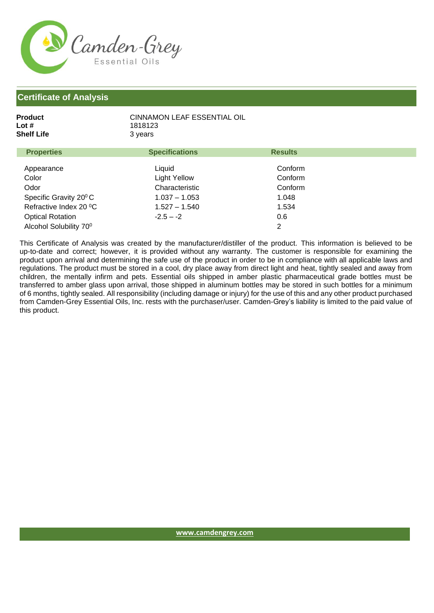

| Product    | CINNAMON LEAF ESSENTIAL OIL |
|------------|-----------------------------|
| Lot #      | 1818123                     |
| Shelf Life | 3 years                     |
|            |                             |

| <b>Properties</b>                  | <b>Specifications</b> | <b>Results</b> |  |
|------------------------------------|-----------------------|----------------|--|
| Appearance                         | Liquid                | Conform        |  |
| Color                              | Light Yellow          | Conform        |  |
| Odor                               | Characteristic        | Conform        |  |
| Specific Gravity 20 <sup>°</sup> C | $1.037 - 1.053$       | 1.048          |  |
| Refractive Index 20 °C             | $1.527 - 1.540$       | 1.534          |  |
| <b>Optical Rotation</b>            | $-2.5 - -2$           | 0.6            |  |
| Alcohol Solubility 70°             |                       | 2              |  |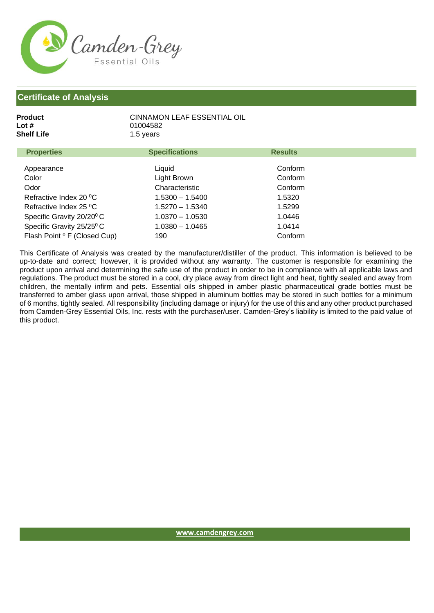

| Product<br>Lot #<br>Shelf Life | CINNAMON LEAF ESSENTIAL OIL<br>01004582<br>1.5 years |                |
|--------------------------------|------------------------------------------------------|----------------|
| <b>Properties</b>              | <b>Specifications</b>                                | <b>Results</b> |

| 1.0001                                  | <b>UPCOMOUNTURY</b> | <b>INGCHILD</b> |  |
|-----------------------------------------|---------------------|-----------------|--|
|                                         |                     |                 |  |
| Appearance                              | Liquid              | Conform         |  |
| Color                                   | Light Brown         | Conform         |  |
| Odor                                    | Characteristic      | Conform         |  |
| Refractive Index 20 °C                  | $1.5300 - 1.5400$   | 1.5320          |  |
| Refractive Index 25 °C                  | $1.5270 - 1.5340$   | 1.5299          |  |
| Specific Gravity 20/20 <sup>0</sup> C   | $1.0370 - 1.0530$   | 1.0446          |  |
| Specific Gravity 25/25 <sup>0</sup> C   | $1.0380 - 1.0465$   | 1.0414          |  |
| Flash Point <sup>0</sup> F (Closed Cup) | 190                 | Conform         |  |